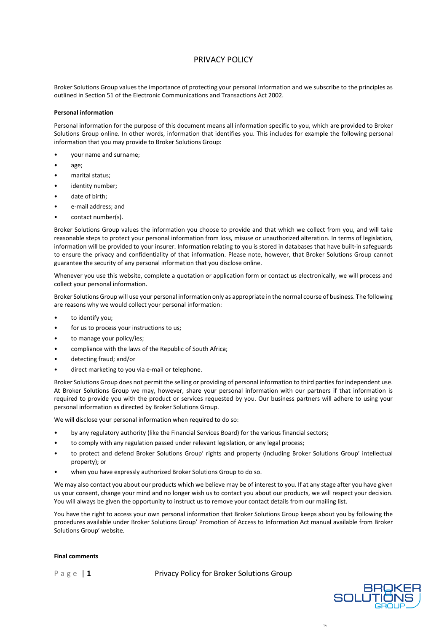## PRIVACY POLICY

Broker Solutions Group values the importance of protecting your personal information and we subscribe to the principles as outlined in Section 51 of the Electronic Communications and Transactions Act 2002.

## **Personal information**

Personal information for the purpose of this document means all information specific to you, which are provided to Broker Solutions Group online. In other words, information that identifies you. This includes for example the following personal information that you may provide to Broker Solutions Group:

- your name and surname;
- age;
- marital status;
- identity number;
- date of birth:
- e-mail address; and
- contact number(s).

Broker Solutions Group values the information you choose to provide and that which we collect from you, and will take reasonable steps to protect your personal information from loss, misuse or unauthorized alteration. In terms of legislation, information will be provided to your insurer. Information relating to you is stored in databases that have built-in safeguards to ensure the privacy and confidentiality of that information. Please note, however, that Broker Solutions Group cannot guarantee the security of any personal information that you disclose online.

Whenever you use this website, complete a quotation or application form or contact us electronically, we will process and collect your personal information.

Broker Solutions Group will use your personal information only as appropriate in the normal course of business. The following are reasons why we would collect your personal information:

- to identify you;
- for us to process your instructions to us;
- to manage your policy/ies;
- compliance with the laws of the Republic of South Africa;
- detecting fraud; and/or
- direct marketing to you via e-mail or telephone.

Broker Solutions Group does not permit the selling or providing of personal information to third parties for independent use. At Broker Solutions Group we may, however, share your personal information with our partners if that information is required to provide you with the product or services requested by you. Our business partners will adhere to using your personal information as directed by Broker Solutions Group.

We will disclose your personal information when required to do so:

- by any regulatory authority (like the Financial Services Board) for the various financial sectors;
- to comply with any regulation passed under relevant legislation, or any legal process;
- to protect and defend Broker Solutions Group' rights and property (including Broker Solutions Group' intellectual property); or
- when you have expressly authorized Broker Solutions Group to do so.

We may also contact you about our products which we believe may be of interest to you. If at any stage after you have given us your consent, change your mind and no longer wish us to contact you about our products, we will respect your decision. You will always be given the opportunity to instruct us to remove your contact details from our mailing list.

You have the right to access your own personal information that Broker Solutions Group keeps about you by following the procedures available under Broker Solutions Group' Promotion of Access to Information Act manual available from Broker Solutions Group' website.

## **Final comments**

Page | 1 Privacy Policy for Broker Solutions Group



1 A